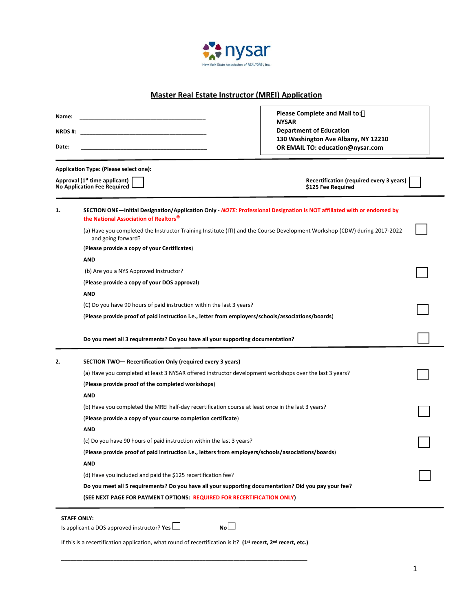

## **Master Real Estate Instructor (MREI) Application**

 $\Gamma$ 

| Name:<br>NRDS #:<br>Date: |                                                                                                                                                                                      | <b>Please Complete and Mail to:</b><br><b>NYSAR</b><br><b>Department of Education</b><br>130 Washington Ave Albany, NY 12210<br>OR EMAIL TO: education@nysar.com |  |  |  |
|---------------------------|--------------------------------------------------------------------------------------------------------------------------------------------------------------------------------------|------------------------------------------------------------------------------------------------------------------------------------------------------------------|--|--|--|
|                           | Application Type: (Please select one):<br>Approval (1 <sup>st</sup> time applicant)<br>Recertification (required every 3 years)<br>No Application Fee Required<br>\$125 Fee Required |                                                                                                                                                                  |  |  |  |
| 1.                        | SECTION ONE—Initial Designation/Application Only - NOTE: Professional Designation is NOT affiliated with or endorsed by<br>the National Association of Realtors <sup>®</sup>         |                                                                                                                                                                  |  |  |  |
|                           | (a) Have you completed the Instructor Training Institute (ITI) and the Course Development Workshop (CDW) during 2017-2022<br>and going forward?                                      |                                                                                                                                                                  |  |  |  |
|                           | (Please provide a copy of your Certificates)                                                                                                                                         |                                                                                                                                                                  |  |  |  |
|                           | <b>AND</b>                                                                                                                                                                           |                                                                                                                                                                  |  |  |  |
|                           | (b) Are you a NYS Approved Instructor?                                                                                                                                               |                                                                                                                                                                  |  |  |  |
|                           | (Please provide a copy of your DOS approval)                                                                                                                                         |                                                                                                                                                                  |  |  |  |
|                           | AND                                                                                                                                                                                  |                                                                                                                                                                  |  |  |  |
|                           | (C) Do you have 90 hours of paid instruction within the last 3 years?                                                                                                                |                                                                                                                                                                  |  |  |  |
|                           | (Please provide proof of paid instruction i.e., letter from employers/schools/associations/boards)                                                                                   |                                                                                                                                                                  |  |  |  |
|                           | Do you meet all 3 requirements? Do you have all your supporting documentation?                                                                                                       |                                                                                                                                                                  |  |  |  |
| 2.                        | SECTION TWO-Recertification Only (required every 3 years)                                                                                                                            |                                                                                                                                                                  |  |  |  |
|                           | (a) Have you completed at least 3 NYSAR offered instructor development workshops over the last 3 years?                                                                              |                                                                                                                                                                  |  |  |  |
|                           | (Please provide proof of the completed workshops)                                                                                                                                    |                                                                                                                                                                  |  |  |  |
|                           | <b>AND</b>                                                                                                                                                                           |                                                                                                                                                                  |  |  |  |
|                           | (b) Have you completed the MREI half-day recertification course at least once in the last 3 years?                                                                                   |                                                                                                                                                                  |  |  |  |
|                           | (Please provide a copy of your course completion certificate)                                                                                                                        |                                                                                                                                                                  |  |  |  |
|                           | <b>AND</b>                                                                                                                                                                           |                                                                                                                                                                  |  |  |  |
|                           | (c) Do you have 90 hours of paid instruction within the last 3 years?                                                                                                                |                                                                                                                                                                  |  |  |  |
|                           | (Please provide proof of paid instruction i.e., letters from employers/schools/associations/boards)                                                                                  |                                                                                                                                                                  |  |  |  |
|                           | <b>AND</b>                                                                                                                                                                           |                                                                                                                                                                  |  |  |  |
|                           | (d) Have you included and paid the \$125 recertification fee?                                                                                                                        |                                                                                                                                                                  |  |  |  |
|                           | Do you meet all 5 requirements? Do you have all your supporting documentation? Did you pay your fee?                                                                                 |                                                                                                                                                                  |  |  |  |
|                           | (SEE NEXT PAGE FOR PAYMENT OPTIONS: REQUIRED FOR RECERTIFICATION ONLY)                                                                                                               |                                                                                                                                                                  |  |  |  |

If this is a recertification application, what round of recertification is it? **(1st recert, 2nd recert, etc.) \_\_\_\_\_\_\_\_\_\_\_\_\_\_\_\_\_\_\_\_\_\_\_\_\_\_\_\_\_\_\_\_\_\_\_\_\_\_\_\_\_\_\_\_\_\_\_\_\_\_\_\_\_\_\_\_\_\_\_\_\_\_\_\_\_\_\_\_\_\_\_\_\_\_\_\_\_\_\_\_**